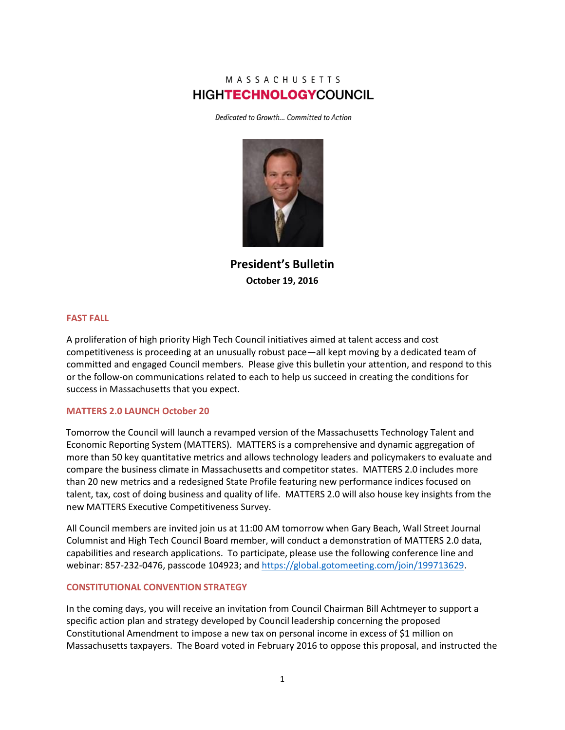# MASSACHUSETTS **HIGHTECHNOLOGYCOUNCIL**

Dedicated to Growth... Committed to Action



**President's Bulletin October 19, 2016**

#### **FAST FALL**

A proliferation of high priority High Tech Council initiatives aimed at talent access and cost competitiveness is proceeding at an unusually robust pace—all kept moving by a dedicated team of committed and engaged Council members. Please give this bulletin your attention, and respond to this or the follow-on communications related to each to help us succeed in creating the conditions for success in Massachusetts that you expect.

#### **MATTERS 2.0 LAUNCH October 20**

Tomorrow the Council will launch a revamped version of the Massachusetts Technology Talent and Economic Reporting System (MATTERS). MATTERS is a comprehensive and dynamic aggregation of more than 50 key quantitative metrics and allows technology leaders and policymakers to evaluate and compare the business climate in Massachusetts and competitor states. MATTERS 2.0 includes more than 20 new metrics and a redesigned State Profile featuring new performance indices focused on talent, tax, cost of doing business and quality of life. MATTERS 2.0 will also house key insights from the new MATTERS Executive Competitiveness Survey.

All Council members are invited join us at 11:00 AM tomorrow when Gary Beach, Wall Street Journal Columnist and High Tech Council Board member, will conduct a demonstration of MATTERS 2.0 data, capabilities and research applications. To participate, please use the following conference line and webinar: 857-232-0476, passcode 104923; an[d https://global.gotomeeting.com/join/199713629.](https://global.gotomeeting.com/join/199713629)

### **CONSTITUTIONAL CONVENTION STRATEGY**

In the coming days, you will receive an invitation from Council Chairman Bill Achtmeyer to support a specific action plan and strategy developed by Council leadership concerning the proposed Constitutional Amendment to impose a new tax on personal income in excess of \$1 million on Massachusetts taxpayers. The Board voted in February 2016 to oppose this proposal, and instructed the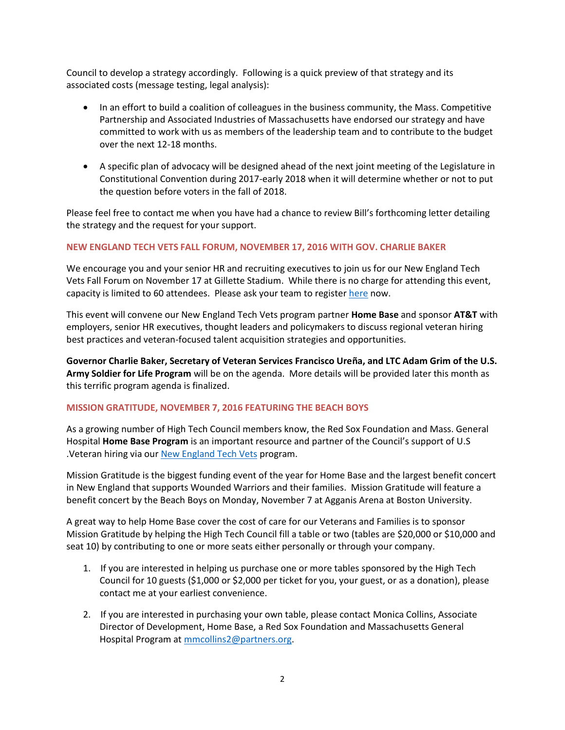Council to develop a strategy accordingly. Following is a quick preview of that strategy and its associated costs (message testing, legal analysis):

- In an effort to build a coalition of colleagues in the business community, the Mass. Competitive Partnership and Associated Industries of Massachusetts have endorsed our strategy and have committed to work with us as members of the leadership team and to contribute to the budget over the next 12-18 months.
- A specific plan of advocacy will be designed ahead of the next joint meeting of the Legislature in Constitutional Convention during 2017-early 2018 when it will determine whether or not to put the question before voters in the fall of 2018.

Please feel free to contact me when you have had a chance to review Bill's forthcoming letter detailing the strategy and the request for your support.

## **NEW ENGLAND TECH VETS FALL FORUM, NOVEMBER 17, 2016 WITH GOV. CHARLIE BAKER**

We encourage you and your senior HR and recruiting executives to join us for our New England Tech Vets Fall Forum on November 17 at Gillette Stadium. While there is no charge for attending this event, capacity is limited to 60 attendees. Please ask your team to register [here](https://netv-2016-fall-forum-11172016.eventbrite.com/) now.

This event will convene our New England Tech Vets program partner **Home Base** and sponsor **AT&T** with employers, senior HR executives, thought leaders and policymakers to discuss regional veteran hiring best practices and veteran-focused talent acquisition strategies and opportunities.

**Governor Charlie Baker, Secretary of Veteran Services Francisco Ureña, and LTC Adam Grim of the U.S. Army Soldier for Life Program** will be on the agenda. More details will be provided later this month as this terrific program agenda is finalized.

## **MISSION GRATITUDE, NOVEMBER 7, 2016 FEATURING THE BEACH BOYS**

As a growing number of High Tech Council members know, the Red Sox Foundation and Mass. General Hospital **Home Base Program** is an important resource and partner of the Council's support of U.S .Veteran hiring via our [New England Tech Vets](http://www.newenglandtechvets.org/) program.

Mission Gratitude is the biggest funding event of the year for Home Base and the largest benefit concert in New England that supports Wounded Warriors and their families. Mission Gratitude will feature a benefit concert by the Beach Boys on Monday, November 7 at Agganis Arena at Boston University.

A great way to help Home Base cover the cost of care for our Veterans and Families is to sponsor Mission Gratitude by helping the High Tech Council fill a table or two (tables are \$20,000 or \$10,000 and seat 10) by contributing to one or more seats either personally or through your company.

- 1. If you are interested in helping us purchase one or more tables sponsored by the High Tech Council for 10 guests (\$1,000 or \$2,000 per ticket for you, your guest, or as a donation), please contact me at your earliest convenience.
- 2. If you are interested in purchasing your own table, please contact Monica Collins, Associate Director of Development, Home Base, a Red Sox Foundation and Massachusetts General Hospital Program at [mmcollins2@partners.org.](mailto:mmcollins2@partners.org)